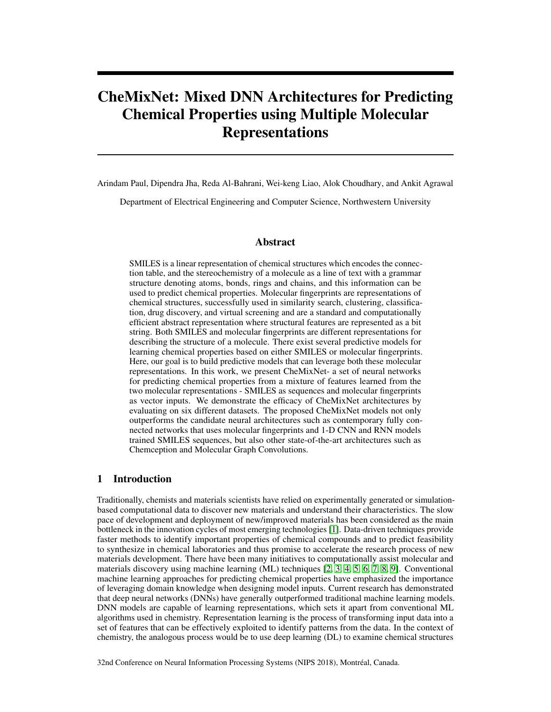# CheMixNet: Mixed DNN Architectures for Predicting Chemical Properties using Multiple Molecular Representations

Arindam Paul, Dipendra Jha, Reda Al-Bahrani, Wei-keng Liao, Alok Choudhary, and Ankit Agrawal

Department of Electrical Engineering and Computer Science, Northwestern University

### Abstract

SMILES is a linear representation of chemical structures which encodes the connection table, and the stereochemistry of a molecule as a line of text with a grammar structure denoting atoms, bonds, rings and chains, and this information can be used to predict chemical properties. Molecular fingerprints are representations of chemical structures, successfully used in similarity search, clustering, classification, drug discovery, and virtual screening and are a standard and computationally efficient abstract representation where structural features are represented as a bit string. Both SMILES and molecular fingerprints are different representations for describing the structure of a molecule. There exist several predictive models for learning chemical properties based on either SMILES or molecular fingerprints. Here, our goal is to build predictive models that can leverage both these molecular representations. In this work, we present CheMixNet- a set of neural networks for predicting chemical properties from a mixture of features learned from the two molecular representations - SMILES as sequences and molecular fingerprints as vector inputs. We demonstrate the efficacy of CheMixNet architectures by evaluating on six different datasets. The proposed CheMixNet models not only outperforms the candidate neural architectures such as contemporary fully connected networks that uses molecular fingerprints and 1-D CNN and RNN models trained SMILES sequences, but also other state-of-the-art architectures such as Chemception and Molecular Graph Convolutions.

### 1 Introduction

Traditionally, chemists and materials scientists have relied on experimentally generated or simulationbased computational data to discover new materials and understand their characteristics. The slow pace of development and deployment of new/improved materials has been considered as the main bottleneck in the innovation cycles of most emerging technologies [\[1\]](#page-9-0). Data-driven techniques provide faster methods to identify important properties of chemical compounds and to predict feasibility to synthesize in chemical laboratories and thus promise to accelerate the research process of new materials development. There have been many initiatives to computationally assist molecular and materials discovery using machine learning (ML) techniques [\[2,](#page-9-1) [3,](#page-9-2) [4,](#page-9-3) [5,](#page-9-4) [6,](#page-9-5) [7,](#page-9-6) [8,](#page-9-7) [9\]](#page-9-8). Conventional machine learning approaches for predicting chemical properties have emphasized the importance of leveraging domain knowledge when designing model inputs. Current research has demonstrated that deep neural networks (DNNs) have generally outperformed traditional machine learning models. DNN models are capable of learning representations, which sets it apart from conventional ML algorithms used in chemistry. Representation learning is the process of transforming input data into a set of features that can be effectively exploited to identify patterns from the data. In the context of chemistry, the analogous process would be to use deep learning (DL) to examine chemical structures

32nd Conference on Neural Information Processing Systems (NIPS 2018), Montréal, Canada.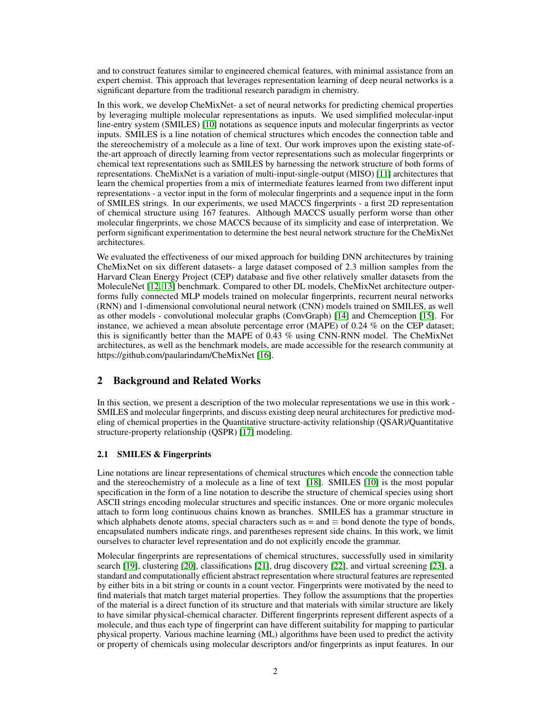and to construct features similar to engineered chemical features, with minimal assistance from an expert chemist. This approach that leverages representation learning of deep neural networks is a significant departure from the traditional research paradigm in chemistry.

In this work, we develop CheMixNet- a set of neural networks for predicting chemical properties by leveraging multiple molecular representations as inputs. We used simplified molecular-input line-entry system (SMILES) [\[10\]](#page-9-9) notations as sequence inputs and molecular fingerprints as vector inputs. SMILES is a line notation of chemical structures which encodes the connection table and the stereochemistry of a molecule as a line of text. Our work improves upon the existing state-ofthe-art approach of directly learning from vector representations such as molecular fingerprints or chemical text representations such as SMILES by harnessing the network structure of both forms of representations. CheMixNet is a variation of multi-input-single-output (MISO) [\[11\]](#page-9-10) architectures that learn the chemical properties from a mix of intermediate features learned from two different input representations - a vector input in the form of molecular fingerprints and a sequence input in the form of SMILES strings. In our experiments, we used MACCS fingerprints - a first 2D representation of chemical structure using 167 features. Although MACCS usually perform worse than other molecular fingerprints, we chose MACCS because of its simplicity and ease of interpretation. We perform significant experimentation to determine the best neural network structure for the CheMixNet architectures.

We evaluated the effectiveness of our mixed approach for building DNN architectures by training CheMixNet on six different datasets- a large dataset composed of 2.3 million samples from the Harvard Clean Energy Project (CEP) database and five other relatively smaller datasets from the MoleculeNet [\[12,](#page-9-11) [13\]](#page-9-12) benchmark. Compared to other DL models, CheMixNet architecture outperforms fully connected MLP models trained on molecular fingerprints, recurrent neural networks (RNN) and 1-dimensional convolutional neural network (CNN) models trained on SMILES, as well as other models - convolutional molecular graphs (ConvGraph) [\[14\]](#page-9-13) and Chemception [\[15\]](#page-10-0). For instance, we achieved a mean absolute percentage error (MAPE) of 0.24 % on the CEP dataset; this is significantly better than the MAPE of 0.43 % using CNN-RNN model. The CheMixNet architectures, as well as the benchmark models, are made accessible for the research community at https://github.com/paularindam/CheMixNet [\[16\]](#page-10-1).

# 2 Background and Related Works

In this section, we present a description of the two molecular representations we use in this work - SMILES and molecular fingerprints, and discuss existing deep neural architectures for predictive modeling of chemical properties in the Quantitative structure-activity relationship (QSAR)/Quantitative structure-property relationship (QSPR) [\[17\]](#page-10-2) modeling.

### 2.1 SMILES & Fingerprints

Line notations are linear representations of chemical structures which encode the connection table and the stereochemistry of a molecule as a line of text [\[18\]](#page-10-3). SMILES [\[10\]](#page-9-9) is the most popular specification in the form of a line notation to describe the structure of chemical species using short ASCII strings encoding molecular structures and specific instances. One or more organic molecules attach to form long continuous chains known as branches. SMILES has a grammar structure in which alphabets denote atoms, special characters such as  $=$  and  $\equiv$  bond denote the type of bonds, encapsulated numbers indicate rings, and parentheses represent side chains. In this work, we limit ourselves to character level representation and do not explicitly encode the grammar.

Molecular fingerprints are representations of chemical structures, successfully used in similarity search [\[19\]](#page-10-4), clustering [\[20\]](#page-10-5), classifications [\[21\]](#page-10-6), drug discovery [\[22\]](#page-10-7), and virtual screening [\[23\]](#page-10-8), a standard and computationally efficient abstract representation where structural features are represented by either bits in a bit string or counts in a count vector. Fingerprints were motivated by the need to find materials that match target material properties. They follow the assumptions that the properties of the material is a direct function of its structure and that materials with similar structure are likely to have similar physical-chemical character. Different fingerprints represent different aspects of a molecule, and thus each type of fingerprint can have different suitability for mapping to particular physical property. Various machine learning (ML) algorithms have been used to predict the activity or property of chemicals using molecular descriptors and/or fingerprints as input features. In our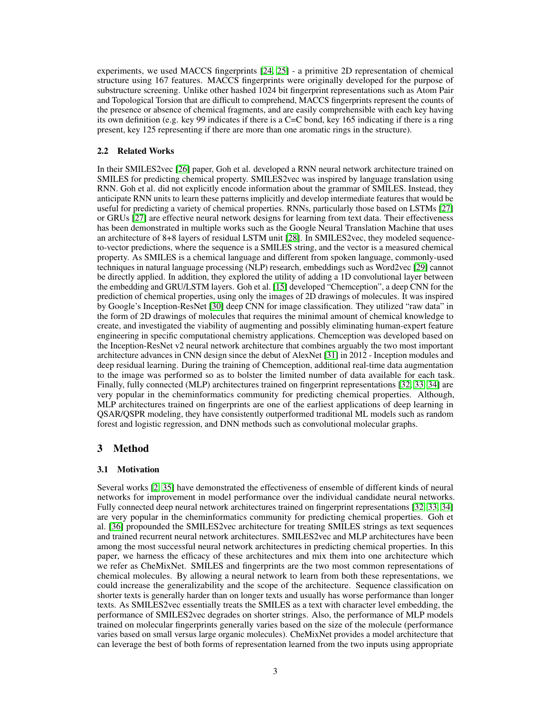experiments, we used MACCS fingerprints [\[24,](#page-10-9) [25\]](#page-10-10) - a primitive 2D representation of chemical structure using 167 features. MACCS fingerprints were originally developed for the purpose of substructure screening. Unlike other hashed 1024 bit fingerprint representations such as Atom Pair and Topological Torsion that are difficult to comprehend, MACCS fingerprints represent the counts of the presence or absence of chemical fragments, and are easily comprehensible with each key having its own definition (e.g. key 99 indicates if there is a  $C=C$  bond, key 165 indicating if there is a ring present, key 125 representing if there are more than one aromatic rings in the structure).

### 2.2 Related Works

In their SMILES2vec [\[26\]](#page-10-11) paper, Goh et al. developed a RNN neural network architecture trained on SMILES for predicting chemical property. SMILES2vec was inspired by language translation using RNN. Goh et al. did not explicitly encode information about the grammar of SMILES. Instead, they anticipate RNN units to learn these patterns implicitly and develop intermediate features that would be useful for predicting a variety of chemical properties. RNNs, particularly those based on LSTMs [\[27\]](#page-10-12) or GRUs [\[27\]](#page-10-12) are effective neural network designs for learning from text data. Their effectiveness has been demonstrated in multiple works such as the Google Neural Translation Machine that uses an architecture of 8+8 layers of residual LSTM unit [\[28\]](#page-10-13). In SMILES2vec, they modeled sequenceto-vector predictions, where the sequence is a SMILES string, and the vector is a measured chemical property. As SMILES is a chemical language and different from spoken language, commonly-used techniques in natural language processing (NLP) research, embeddings such as Word2vec [\[29\]](#page-10-14) cannot be directly applied. In addition, they explored the utility of adding a 1D convolutional layer between the embedding and GRU/LSTM layers. Goh et al. [\[15\]](#page-10-0) developed "Chemception", a deep CNN for the prediction of chemical properties, using only the images of 2D drawings of molecules. It was inspired by Google's Inception-ResNet [\[30\]](#page-10-15) deep CNN for image classification. They utilized "raw data" in the form of 2D drawings of molecules that requires the minimal amount of chemical knowledge to create, and investigated the viability of augmenting and possibly eliminating human-expert feature engineering in specific computational chemistry applications. Chemception was developed based on the Inception-ResNet v2 neural network architecture that combines arguably the two most important architecture advances in CNN design since the debut of AlexNet [\[31\]](#page-10-16) in 2012 - Inception modules and deep residual learning. During the training of Chemception, additional real-time data augmentation to the image was performed so as to bolster the limited number of data available for each task. Finally, fully connected (MLP) architectures trained on fingerprint representations [\[32,](#page-10-17) [33,](#page-10-18) [34\]](#page-11-0) are very popular in the cheminformatics community for predicting chemical properties. Although, MLP architectures trained on fingerprints are one of the earliest applications of deep learning in QSAR/QSPR modeling, they have consistently outperformed traditional ML models such as random forest and logistic regression, and DNN methods such as convolutional molecular graphs.

### 3 Method

### 3.1 Motivation

Several works [\[2,](#page-9-1) [35\]](#page-11-1) have demonstrated the effectiveness of ensemble of different kinds of neural networks for improvement in model performance over the individual candidate neural networks. Fully connected deep neural network architectures trained on fingerprint representations [\[32,](#page-10-17) [33,](#page-10-18) [34\]](#page-11-0) are very popular in the cheminformatics community for predicting chemical properties. Goh et al. [\[36\]](#page-11-2) propounded the SMILES2vec architecture for treating SMILES strings as text sequences and trained recurrent neural network architectures. SMILES2vec and MLP architectures have been among the most successful neural network architectures in predicting chemical properties. In this paper, we harness the efficacy of these architectures and mix them into one architecture which we refer as CheMixNet. SMILES and fingerprints are the two most common representations of chemical molecules. By allowing a neural network to learn from both these representations, we could increase the generalizability and the scope of the architecture. Sequence classification on shorter texts is generally harder than on longer texts and usually has worse performance than longer texts. As SMILES2vec essentially treats the SMILES as a text with character level embedding, the performance of SMILES2vec degrades on shorter strings. Also, the performance of MLP models trained on molecular fingerprints generally varies based on the size of the molecule (performance varies based on small versus large organic molecules). CheMixNet provides a model architecture that can leverage the best of both forms of representation learned from the two inputs using appropriate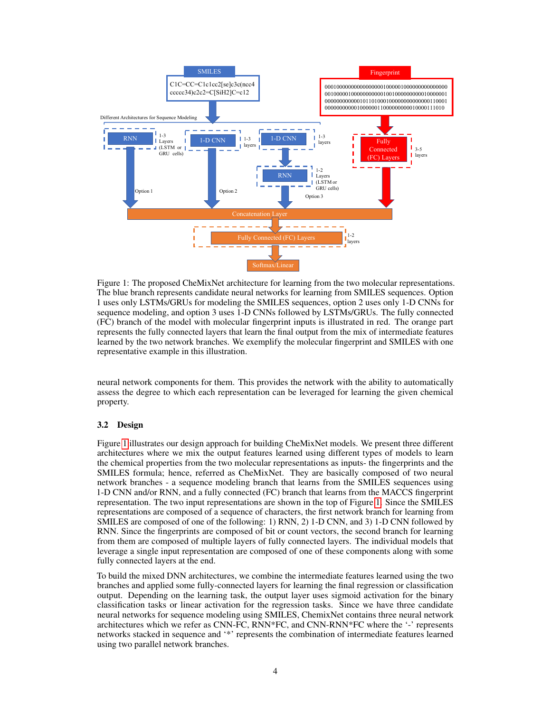<span id="page-3-0"></span>

Figure 1: The proposed CheMixNet architecture for learning from the two molecular representations. The blue branch represents candidate neural networks for learning from SMILES sequences. Option 1 uses only LSTMs/GRUs for modeling the SMILES sequences, option 2 uses only 1-D CNNs for sequence modeling, and option 3 uses 1-D CNNs followed by LSTMs/GRUs. The fully connected (FC) branch of the model with molecular fingerprint inputs is illustrated in red. The orange part represents the fully connected layers that learn the final output from the mix of intermediate features learned by the two network branches. We exemplify the molecular fingerprint and SMILES with one representative example in this illustration.

neural network components for them. This provides the network with the ability to automatically assess the degree to which each representation can be leveraged for learning the given chemical property.

### 3.2 Design

Figure [1](#page-3-0) illustrates our design approach for building CheMixNet models. We present three different architectures where we mix the output features learned using different types of models to learn the chemical properties from the two molecular representations as inputs- the fingerprints and the SMILES formula; hence, referred as CheMixNet. They are basically composed of two neural network branches - a sequence modeling branch that learns from the SMILES sequences using 1-D CNN and/or RNN, and a fully connected (FC) branch that learns from the MACCS fingerprint representation. The two input representations are shown in the top of Figure [1.](#page-3-0) Since the SMILES representations are composed of a sequence of characters, the first network branch for learning from SMILES are composed of one of the following: 1) RNN, 2) 1-D CNN, and 3) 1-D CNN followed by RNN. Since the fingerprints are composed of bit or count vectors, the second branch for learning from them are composed of multiple layers of fully connected layers. The individual models that leverage a single input representation are composed of one of these components along with some fully connected layers at the end.

To build the mixed DNN architectures, we combine the intermediate features learned using the two branches and applied some fully-connected layers for learning the final regression or classification output. Depending on the learning task, the output layer uses sigmoid activation for the binary classification tasks or linear activation for the regression tasks. Since we have three candidate neural networks for sequence modeling using SMILES, ChemixNet contains three neural network architectures which we refer as CNN-FC, RNN\*FC, and CNN-RNN\*FC where the '-' represents networks stacked in sequence and '\*' represents the combination of intermediate features learned using two parallel network branches.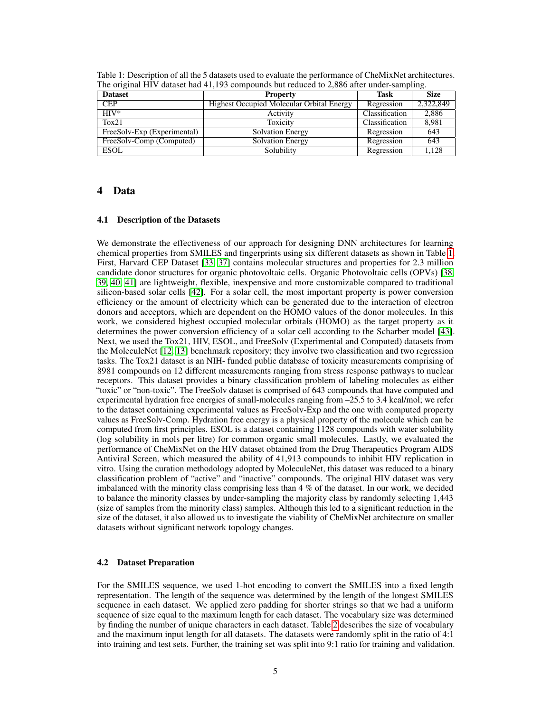| <b>Dataset</b>              | <b>Property</b>                                  | Task           | <b>Size</b> |
|-----------------------------|--------------------------------------------------|----------------|-------------|
| <b>CEP</b>                  | <b>Highest Occupied Molecular Orbital Energy</b> | Regression     | 2,322,849   |
| $HIV*$                      | Activity                                         | Classification | 2,886       |
| Tox21                       | Toxicity                                         | Classification | 8,981       |
| FreeSolv-Exp (Experimental) | <b>Solvation Energy</b>                          | Regression     | 643         |
| FreeSolv-Comp (Computed)    | <b>Solvation Energy</b>                          | Regression     | 643         |
| <b>ESOL</b>                 | Solubility                                       | Regression     | 1,128       |

<span id="page-4-0"></span>Table 1: Description of all the 5 datasets used to evaluate the performance of CheMixNet architectures. The original HIV dataset had 41,193 compounds but reduced to 2,886 after under-sampling.

### 4 Data

#### 4.1 Description of the Datasets

We demonstrate the effectiveness of our approach for designing DNN architectures for learning chemical properties from SMILES and fingerprints using six different datasets as shown in Table [1.](#page-4-0) First, Harvard CEP Dataset [\[33,](#page-10-18) [37\]](#page-11-3) contains molecular structures and properties for 2.3 million candidate donor structures for organic photovoltaic cells. Organic Photovoltaic cells (OPVs) [\[38,](#page-11-4) [39,](#page-11-5) [40,](#page-11-6) [41\]](#page-11-7) are lightweight, flexible, inexpensive and more customizable compared to traditional silicon-based solar cells [\[42\]](#page-11-8). For a solar cell, the most important property is power conversion efficiency or the amount of electricity which can be generated due to the interaction of electron donors and acceptors, which are dependent on the HOMO values of the donor molecules. In this work, we considered highest occupied molecular orbitals (HOMO) as the target property as it determines the power conversion efficiency of a solar cell according to the Scharber model [\[43\]](#page-11-9). Next, we used the Tox21, HIV, ESOL, and FreeSolv (Experimental and Computed) datasets from the MoleculeNet [\[12,](#page-9-11) [13\]](#page-9-12) benchmark repository; they involve two classification and two regression tasks. The Tox21 dataset is an NIH- funded public database of toxicity measurements comprising of 8981 compounds on 12 different measurements ranging from stress response pathways to nuclear receptors. This dataset provides a binary classification problem of labeling molecules as either "toxic" or "non-toxic". The FreeSolv dataset is comprised of 643 compounds that have computed and experimental hydration free energies of small-molecules ranging from –25.5 to 3.4 kcal/mol; we refer to the dataset containing experimental values as FreeSolv-Exp and the one with computed property values as FreeSolv-Comp. Hydration free energy is a physical property of the molecule which can be computed from first principles. ESOL is a dataset containing 1128 compounds with water solubility (log solubility in mols per litre) for common organic small molecules. Lastly, we evaluated the performance of CheMixNet on the HIV dataset obtained from the Drug Therapeutics Program AIDS Antiviral Screen, which measured the ability of 41,913 compounds to inhibit HIV replication in vitro. Using the curation methodology adopted by MoleculeNet, this dataset was reduced to a binary classification problem of "active" and "inactive" compounds. The original HIV dataset was very imbalanced with the minority class comprising less than  $4\%$  of the dataset. In our work, we decided to balance the minority classes by under-sampling the majority class by randomly selecting 1,443 (size of samples from the minority class) samples. Although this led to a significant reduction in the size of the dataset, it also allowed us to investigate the viability of CheMixNet architecture on smaller datasets without significant network topology changes.

### 4.2 Dataset Preparation

For the SMILES sequence, we used 1-hot encoding to convert the SMILES into a fixed length representation. The length of the sequence was determined by the length of the longest SMILES sequence in each dataset. We applied zero padding for shorter strings so that we had a uniform sequence of size equal to the maximum length for each dataset. The vocabulary size was determined by finding the number of unique characters in each dataset. Table [2](#page-5-0) describes the size of vocabulary and the maximum input length for all datasets. The datasets were randomly split in the ratio of 4:1 into training and test sets. Further, the training set was split into 9:1 ratio for training and validation.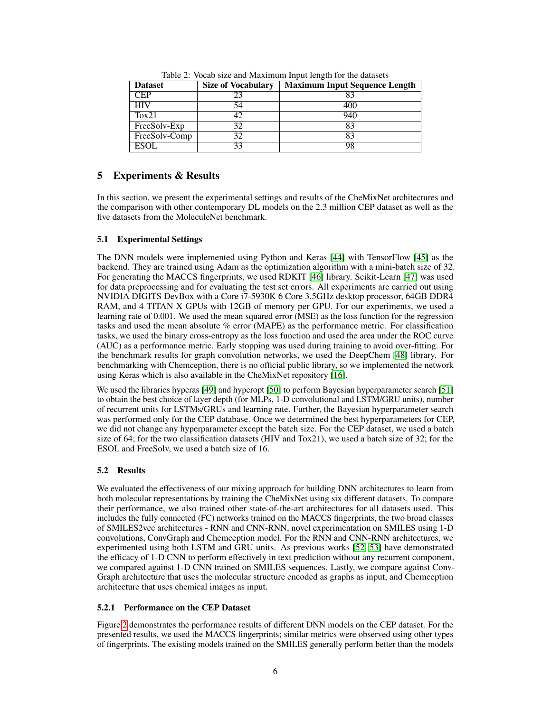<span id="page-5-0"></span>

| <b>Dataset</b> | <b>Size of Vocabulary</b> | <b>Maximum Input Sequence Length</b> |
|----------------|---------------------------|--------------------------------------|
| <b>CEP</b>     | 23                        | 83                                   |
| <b>HIV</b>     | 54                        | 400                                  |
| Tox21          | 42                        | 940                                  |
| FreeSolv-Exp   | 32                        | 83                                   |
| FreeSolv-Comp  | 32                        | 83                                   |
| <b>ESOL</b>    | 33                        | 98                                   |

Table 2: Vocab size and Maximum Input length for the datasets

# 5 Experiments & Results

In this section, we present the experimental settings and results of the CheMixNet architectures and the comparison with other contemporary DL models on the 2.3 million CEP dataset as well as the five datasets from the MoleculeNet benchmark.

### 5.1 Experimental Settings

The DNN models were implemented using Python and Keras [\[44\]](#page-11-10) with TensorFlow [\[45\]](#page-11-11) as the backend. They are trained using Adam as the optimization algorithm with a mini-batch size of 32. For generating the MACCS fingerprints, we used RDKIT [\[46\]](#page-11-12) library. Scikit-Learn [\[47\]](#page-11-13) was used for data preprocessing and for evaluating the test set errors. All experiments are carried out using NVIDIA DIGITS DevBox with a Core i7-5930K 6 Core 3.5GHz desktop processor, 64GB DDR4 RAM, and 4 TITAN X GPUs with 12GB of memory per GPU. For our experiments, we used a learning rate of 0.001. We used the mean squared error (MSE) as the loss function for the regression tasks and used the mean absolute % error (MAPE) as the performance metric. For classification tasks, we used the binary cross-entropy as the loss function and used the area under the ROC curve (AUC) as a performance metric. Early stopping was used during training to avoid over-fitting. For the benchmark results for graph convolution networks, we used the DeepChem [\[48\]](#page-11-14) library. For benchmarking with Chemception, there is no official public library, so we implemented the network using Keras which is also available in the CheMixNet repository [\[16\]](#page-10-1).

We used the libraries hyperas [\[49\]](#page-11-15) and hyperopt [\[50\]](#page-11-16) to perform Bayesian hyperparameter search [\[51\]](#page-12-0) to obtain the best choice of layer depth (for MLPs, 1-D convolutional and LSTM/GRU units), number of recurrent units for LSTMs/GRUs and learning rate. Further, the Bayesian hyperparameter search was performed only for the CEP database. Once we determined the best hyperparameters for CEP, we did not change any hyperparameter except the batch size. For the CEP dataset, we used a batch size of 64; for the two classification datasets (HIV and Tox21), we used a batch size of 32; for the ESOL and FreeSolv, we used a batch size of 16.

# 5.2 Results

We evaluated the effectiveness of our mixing approach for building DNN architectures to learn from both molecular representations by training the CheMixNet using six different datasets. To compare their performance, we also trained other state-of-the-art architectures for all datasets used. This includes the fully connected (FC) networks trained on the MACCS fingerprints, the two broad classes of SMILES2vec architectures - RNN and CNN-RNN, novel experimentation on SMILES using 1-D convolutions, ConvGraph and Chemception model. For the RNN and CNN-RNN architectures, we experimented using both LSTM and GRU units. As previous works [\[52,](#page-12-1) [53\]](#page-12-2) have demonstrated the efficacy of 1-D CNN to perform effectively in text prediction without any recurrent component, we compared against 1-D CNN trained on SMILES sequences. Lastly, we compare against Conv-Graph architecture that uses the molecular structure encoded as graphs as input, and Chemception architecture that uses chemical images as input.

### 5.2.1 Performance on the CEP Dataset

Figure [2](#page-6-0) demonstrates the performance results of different DNN models on the CEP dataset. For the presented results, we used the MACCS fingerprints; similar metrics were observed using other types of fingerprints. The existing models trained on the SMILES generally perform better than the models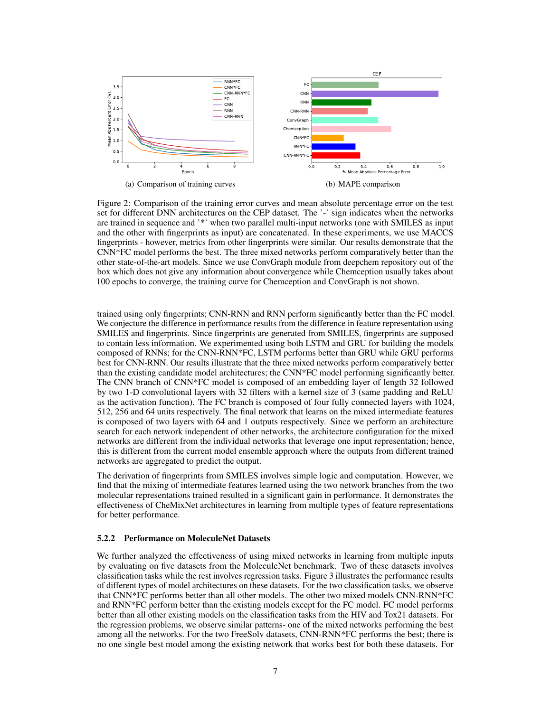<span id="page-6-0"></span>

Figure 2: Comparison of the training error curves and mean absolute percentage error on the test set for different DNN architectures on the CEP dataset. The '-' sign indicates when the networks are trained in sequence and '\*' when two parallel multi-input networks (one with SMILES as input and the other with fingerprints as input) are concatenated. In these experiments, we use MACCS fingerprints - however, metrics from other fingerprints were similar. Our results demonstrate that the CNN\*FC model performs the best. The three mixed networks perform comparatively better than the other state-of-the-art models. Since we use ConvGraph module from deepchem repository out of the box which does not give any information about convergence while Chemception usually takes about 100 epochs to converge, the training curve for Chemception and ConvGraph is not shown.

trained using only fingerprints; CNN-RNN and RNN perform significantly better than the FC model. We conjecture the difference in performance results from the difference in feature representation using SMILES and fingerprints. Since fingerprints are generated from SMILES, fingerprints are supposed to contain less information. We experimented using both LSTM and GRU for building the models composed of RNNs; for the CNN-RNN\*FC, LSTM performs better than GRU while GRU performs best for CNN-RNN. Our results illustrate that the three mixed networks perform comparatively better than the existing candidate model architectures; the CNN\*FC model performing significantly better. The CNN branch of CNN\*FC model is composed of an embedding layer of length 32 followed by two 1-D convolutional layers with 32 filters with a kernel size of 3 (same padding and ReLU as the activation function). The FC branch is composed of four fully connected layers with 1024, 512, 256 and 64 units respectively. The final network that learns on the mixed intermediate features is composed of two layers with 64 and 1 outputs respectively. Since we perform an architecture search for each network independent of other networks, the architecture configuration for the mixed networks are different from the individual networks that leverage one input representation; hence, this is different from the current model ensemble approach where the outputs from different trained networks are aggregated to predict the output.

The derivation of fingerprints from SMILES involves simple logic and computation. However, we find that the mixing of intermediate features learned using the two network branches from the two molecular representations trained resulted in a significant gain in performance. It demonstrates the effectiveness of CheMixNet architectures in learning from multiple types of feature representations for better performance.

#### 5.2.2 Performance on MoleculeNet Datasets

We further analyzed the effectiveness of using mixed networks in learning from multiple inputs by evaluating on five datasets from the MoleculeNet benchmark. Two of these datasets involves classification tasks while the rest involves regression tasks. Figure 3 illustrates the performance results of different types of model architectures on these datasets. For the two classification tasks, we observe that CNN\*FC performs better than all other models. The other two mixed models CNN-RNN\*FC and RNN\*FC perform better than the existing models except for the FC model. FC model performs better than all other existing models on the classification tasks from the HIV and Tox21 datasets. For the regression problems, we observe similar patterns- one of the mixed networks performing the best among all the networks. For the two FreeSolv datasets, CNN-RNN\*FC performs the best; there is no one single best model among the existing network that works best for both these datasets. For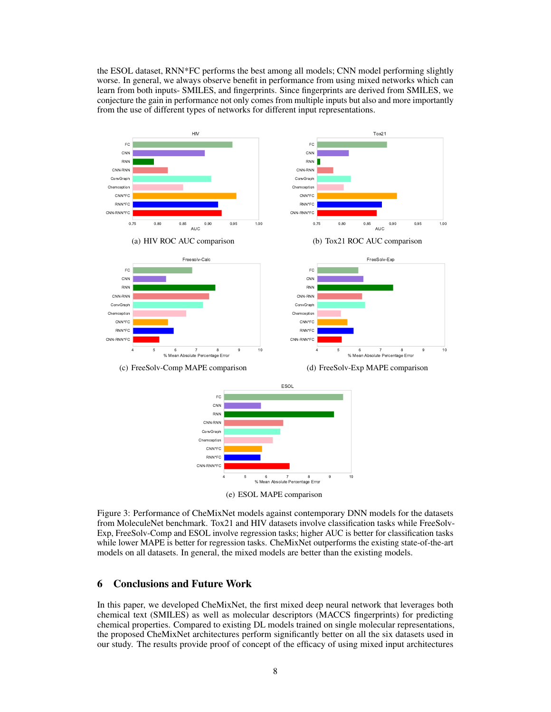the ESOL dataset, RNN\*FC performs the best among all models; CNN model performing slightly worse. In general, we always observe benefit in performance from using mixed networks which can learn from both inputs- SMILES, and fingerprints. Since fingerprints are derived from SMILES, we conjecture the gain in performance not only comes from multiple inputs but also and more importantly from the use of different types of networks for different input representations.



Figure 3: Performance of CheMixNet models against contemporary DNN models for the datasets from MoleculeNet benchmark. Tox21 and HIV datasets involve classification tasks while FreeSolv-Exp, FreeSolv-Comp and ESOL involve regression tasks; higher AUC is better for classification tasks while lower MAPE is better for regression tasks. CheMixNet outperforms the existing state-of-the-art models on all datasets. In general, the mixed models are better than the existing models.

### 6 Conclusions and Future Work

In this paper, we developed CheMixNet, the first mixed deep neural network that leverages both chemical text (SMILES) as well as molecular descriptors (MACCS fingerprints) for predicting chemical properties. Compared to existing DL models trained on single molecular representations, the proposed CheMixNet architectures perform significantly better on all the six datasets used in our study. The results provide proof of concept of the efficacy of using mixed input architectures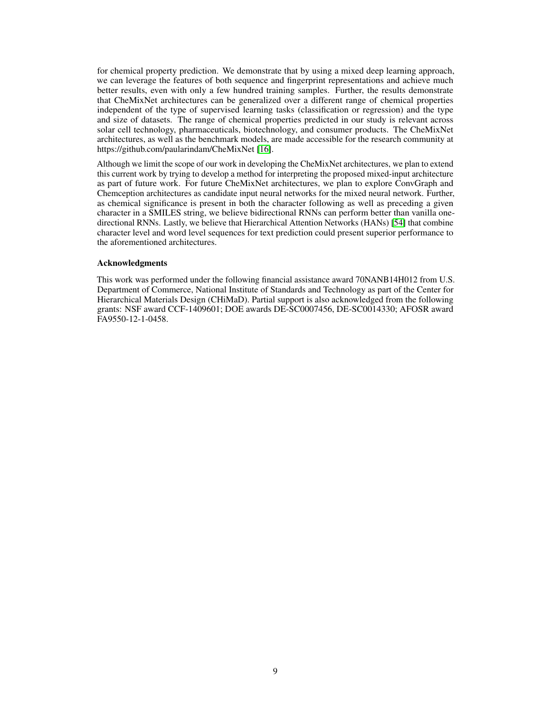for chemical property prediction. We demonstrate that by using a mixed deep learning approach, we can leverage the features of both sequence and fingerprint representations and achieve much better results, even with only a few hundred training samples. Further, the results demonstrate that CheMixNet architectures can be generalized over a different range of chemical properties independent of the type of supervised learning tasks (classification or regression) and the type and size of datasets. The range of chemical properties predicted in our study is relevant across solar cell technology, pharmaceuticals, biotechnology, and consumer products. The CheMixNet architectures, as well as the benchmark models, are made accessible for the research community at https://github.com/paularindam/CheMixNet [\[16\]](#page-10-1).

Although we limit the scope of our work in developing the CheMixNet architectures, we plan to extend this current work by trying to develop a method for interpreting the proposed mixed-input architecture as part of future work. For future CheMixNet architectures, we plan to explore ConvGraph and Chemception architectures as candidate input neural networks for the mixed neural network. Further, as chemical significance is present in both the character following as well as preceding a given character in a SMILES string, we believe bidirectional RNNs can perform better than vanilla onedirectional RNNs. Lastly, we believe that Hierarchical Attention Networks (HANs) [\[54\]](#page-12-3) that combine character level and word level sequences for text prediction could present superior performance to the aforementioned architectures.

#### Acknowledgments

This work was performed under the following financial assistance award 70NANB14H012 from U.S. Department of Commerce, National Institute of Standards and Technology as part of the Center for Hierarchical Materials Design (CHiMaD). Partial support is also acknowledged from the following grants: NSF award CCF-1409601; DOE awards DE-SC0007456, DE-SC0014330; AFOSR award FA9550-12-1-0458.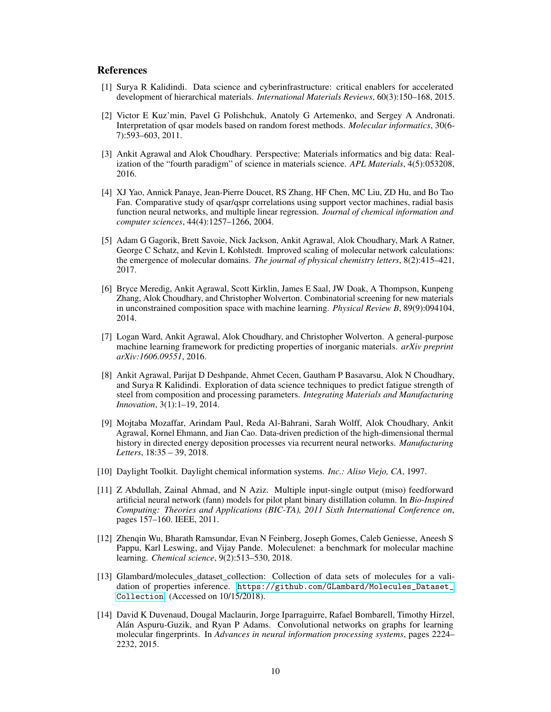### References

- <span id="page-9-0"></span>[1] Surya R Kalidindi. Data science and cyberinfrastructure: critical enablers for accelerated development of hierarchical materials. *International Materials Reviews*, 60(3):150–168, 2015.
- <span id="page-9-1"></span>[2] Victor E Kuz'min, Pavel G Polishchuk, Anatoly G Artemenko, and Sergey A Andronati. Interpretation of qsar models based on random forest methods. *Molecular informatics*, 30(6- 7):593–603, 2011.
- <span id="page-9-2"></span>[3] Ankit Agrawal and Alok Choudhary. Perspective: Materials informatics and big data: Realization of the "fourth paradigm" of science in materials science. *APL Materials*, 4(5):053208, 2016.
- <span id="page-9-3"></span>[4] XJ Yao, Annick Panaye, Jean-Pierre Doucet, RS Zhang, HF Chen, MC Liu, ZD Hu, and Bo Tao Fan. Comparative study of qsar/qspr correlations using support vector machines, radial basis function neural networks, and multiple linear regression. *Journal of chemical information and computer sciences*, 44(4):1257–1266, 2004.
- <span id="page-9-4"></span>[5] Adam G Gagorik, Brett Savoie, Nick Jackson, Ankit Agrawal, Alok Choudhary, Mark A Ratner, George C Schatz, and Kevin L Kohlstedt. Improved scaling of molecular network calculations: the emergence of molecular domains. *The journal of physical chemistry letters*, 8(2):415–421, 2017.
- <span id="page-9-5"></span>[6] Bryce Meredig, Ankit Agrawal, Scott Kirklin, James E Saal, JW Doak, A Thompson, Kunpeng Zhang, Alok Choudhary, and Christopher Wolverton. Combinatorial screening for new materials in unconstrained composition space with machine learning. *Physical Review B*, 89(9):094104, 2014.
- <span id="page-9-6"></span>[7] Logan Ward, Ankit Agrawal, Alok Choudhary, and Christopher Wolverton. A general-purpose machine learning framework for predicting properties of inorganic materials. *arXiv preprint arXiv:1606.09551*, 2016.
- <span id="page-9-7"></span>[8] Ankit Agrawal, Parijat D Deshpande, Ahmet Cecen, Gautham P Basavarsu, Alok N Choudhary, and Surya R Kalidindi. Exploration of data science techniques to predict fatigue strength of steel from composition and processing parameters. *Integrating Materials and Manufacturing Innovation*, 3(1):1–19, 2014.
- <span id="page-9-8"></span>[9] Mojtaba Mozaffar, Arindam Paul, Reda Al-Bahrani, Sarah Wolff, Alok Choudhary, Ankit Agrawal, Kornel Ehmann, and Jian Cao. Data-driven prediction of the high-dimensional thermal history in directed energy deposition processes via recurrent neural networks. *Manufacturing Letters*, 18:35 – 39, 2018.
- <span id="page-9-9"></span>[10] Daylight Toolkit. Daylight chemical information systems. *Inc.: Aliso Viejo, CA*, 1997.
- <span id="page-9-10"></span>[11] Z Abdullah, Zainal Ahmad, and N Aziz. Multiple input-single output (miso) feedforward artificial neural network (fann) models for pilot plant binary distillation column. In *Bio-Inspired Computing: Theories and Applications (BIC-TA), 2011 Sixth International Conference on*, pages 157–160. IEEE, 2011.
- <span id="page-9-11"></span>[12] Zhenqin Wu, Bharath Ramsundar, Evan N Feinberg, Joseph Gomes, Caleb Geniesse, Aneesh S Pappu, Karl Leswing, and Vijay Pande. Moleculenet: a benchmark for molecular machine learning. *Chemical science*, 9(2):513–530, 2018.
- <span id="page-9-12"></span>[13] Glambard/molecules\_dataset\_collection: Collection of data sets of molecules for a validation of properties inference. [https://github.com/GLambard/Molecules\\_Dataset\\_](https://github.com/GLambard/Molecules_Dataset_Collection) [Collection](https://github.com/GLambard/Molecules_Dataset_Collection). (Accessed on 10/15/2018).
- <span id="page-9-13"></span>[14] David K Duvenaud, Dougal Maclaurin, Jorge Iparraguirre, Rafael Bombarell, Timothy Hirzel, Alán Aspuru-Guzik, and Ryan P Adams. Convolutional networks on graphs for learning molecular fingerprints. In *Advances in neural information processing systems*, pages 2224– 2232, 2015.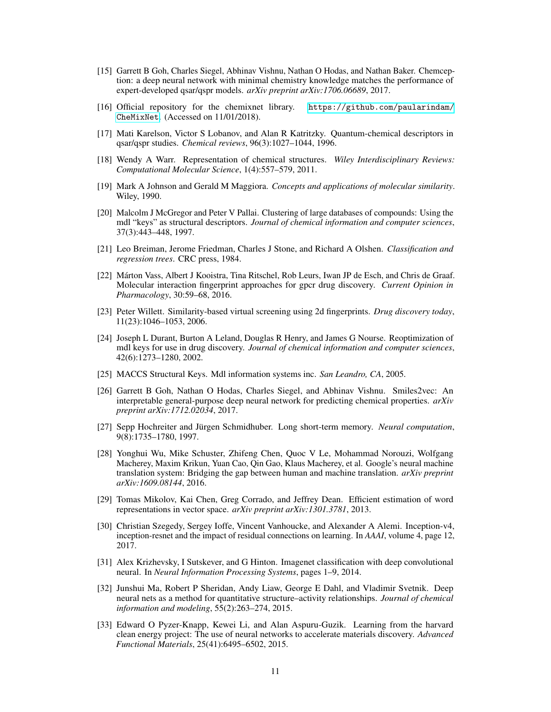- <span id="page-10-0"></span>[15] Garrett B Goh, Charles Siegel, Abhinav Vishnu, Nathan O Hodas, and Nathan Baker. Chemception: a deep neural network with minimal chemistry knowledge matches the performance of expert-developed qsar/qspr models. *arXiv preprint arXiv:1706.06689*, 2017.
- <span id="page-10-1"></span>[16] Official repository for the chemixnet library. [https://github.com/paularindam/](https://github.com/paularindam/CheMixNet) [CheMixNet](https://github.com/paularindam/CheMixNet). (Accessed on 11/01/2018).
- <span id="page-10-2"></span>[17] Mati Karelson, Victor S Lobanov, and Alan R Katritzky. Quantum-chemical descriptors in qsar/qspr studies. *Chemical reviews*, 96(3):1027–1044, 1996.
- <span id="page-10-3"></span>[18] Wendy A Warr. Representation of chemical structures. *Wiley Interdisciplinary Reviews: Computational Molecular Science*, 1(4):557–579, 2011.
- <span id="page-10-4"></span>[19] Mark A Johnson and Gerald M Maggiora. *Concepts and applications of molecular similarity*. Wiley, 1990.
- <span id="page-10-5"></span>[20] Malcolm J McGregor and Peter V Pallai. Clustering of large databases of compounds: Using the mdl "keys" as structural descriptors. *Journal of chemical information and computer sciences*, 37(3):443–448, 1997.
- <span id="page-10-6"></span>[21] Leo Breiman, Jerome Friedman, Charles J Stone, and Richard A Olshen. *Classification and regression trees*. CRC press, 1984.
- <span id="page-10-7"></span>[22] Márton Vass, Albert J Kooistra, Tina Ritschel, Rob Leurs, Iwan JP de Esch, and Chris de Graaf. Molecular interaction fingerprint approaches for gpcr drug discovery. *Current Opinion in Pharmacology*, 30:59–68, 2016.
- <span id="page-10-8"></span>[23] Peter Willett. Similarity-based virtual screening using 2d fingerprints. *Drug discovery today*, 11(23):1046–1053, 2006.
- <span id="page-10-9"></span>[24] Joseph L Durant, Burton A Leland, Douglas R Henry, and James G Nourse. Reoptimization of mdl keys for use in drug discovery. *Journal of chemical information and computer sciences*, 42(6):1273–1280, 2002.
- <span id="page-10-10"></span>[25] MACCS Structural Keys. Mdl information systems inc. *San Leandro, CA*, 2005.
- <span id="page-10-11"></span>[26] Garrett B Goh, Nathan O Hodas, Charles Siegel, and Abhinav Vishnu. Smiles2vec: An interpretable general-purpose deep neural network for predicting chemical properties. *arXiv preprint arXiv:1712.02034*, 2017.
- <span id="page-10-12"></span>[27] Sepp Hochreiter and Jürgen Schmidhuber. Long short-term memory. *Neural computation*, 9(8):1735–1780, 1997.
- <span id="page-10-13"></span>[28] Yonghui Wu, Mike Schuster, Zhifeng Chen, Quoc V Le, Mohammad Norouzi, Wolfgang Macherey, Maxim Krikun, Yuan Cao, Qin Gao, Klaus Macherey, et al. Google's neural machine translation system: Bridging the gap between human and machine translation. *arXiv preprint arXiv:1609.08144*, 2016.
- <span id="page-10-14"></span>[29] Tomas Mikolov, Kai Chen, Greg Corrado, and Jeffrey Dean. Efficient estimation of word representations in vector space. *arXiv preprint arXiv:1301.3781*, 2013.
- <span id="page-10-15"></span>[30] Christian Szegedy, Sergey Ioffe, Vincent Vanhoucke, and Alexander A Alemi. Inception-v4, inception-resnet and the impact of residual connections on learning. In *AAAI*, volume 4, page 12, 2017.
- <span id="page-10-16"></span>[31] Alex Krizhevsky, I Sutskever, and G Hinton. Imagenet classification with deep convolutional neural. In *Neural Information Processing Systems*, pages 1–9, 2014.
- <span id="page-10-17"></span>[32] Junshui Ma, Robert P Sheridan, Andy Liaw, George E Dahl, and Vladimir Svetnik. Deep neural nets as a method for quantitative structure–activity relationships. *Journal of chemical information and modeling*, 55(2):263–274, 2015.
- <span id="page-10-18"></span>[33] Edward O Pyzer-Knapp, Kewei Li, and Alan Aspuru-Guzik. Learning from the harvard clean energy project: The use of neural networks to accelerate materials discovery. *Advanced Functional Materials*, 25(41):6495–6502, 2015.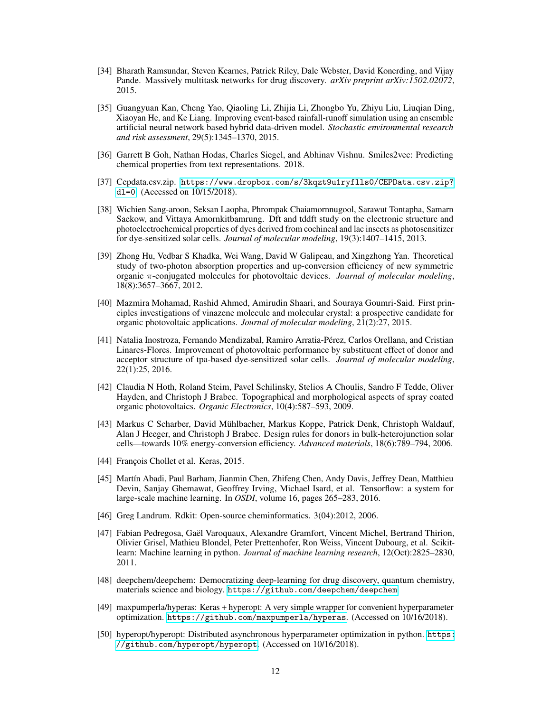- <span id="page-11-0"></span>[34] Bharath Ramsundar, Steven Kearnes, Patrick Riley, Dale Webster, David Konerding, and Vijay Pande. Massively multitask networks for drug discovery. *arXiv preprint arXiv:1502.02072*, 2015.
- <span id="page-11-1"></span>[35] Guangyuan Kan, Cheng Yao, Qiaoling Li, Zhijia Li, Zhongbo Yu, Zhiyu Liu, Liuqian Ding, Xiaoyan He, and Ke Liang. Improving event-based rainfall-runoff simulation using an ensemble artificial neural network based hybrid data-driven model. *Stochastic environmental research and risk assessment*, 29(5):1345–1370, 2015.
- <span id="page-11-2"></span>[36] Garrett B Goh, Nathan Hodas, Charles Siegel, and Abhinav Vishnu. Smiles2vec: Predicting chemical properties from text representations. 2018.
- <span id="page-11-3"></span>[37] Cepdata.csv.zip. [https://www.dropbox.com/s/3kqzt9u1ryflls0/CEPData.csv.zip?](https://www.dropbox.com/s/3kqzt9u1ryflls0/CEPData.csv.zip?dl=0) [dl=0](https://www.dropbox.com/s/3kqzt9u1ryflls0/CEPData.csv.zip?dl=0). (Accessed on 10/15/2018).
- <span id="page-11-4"></span>[38] Wichien Sang-aroon, Seksan Laopha, Phrompak Chaiamornnugool, Sarawut Tontapha, Samarn Saekow, and Vittaya Amornkitbamrung. Dft and tddft study on the electronic structure and photoelectrochemical properties of dyes derived from cochineal and lac insects as photosensitizer for dye-sensitized solar cells. *Journal of molecular modeling*, 19(3):1407–1415, 2013.
- <span id="page-11-5"></span>[39] Zhong Hu, Vedbar S Khadka, Wei Wang, David W Galipeau, and Xingzhong Yan. Theoretical study of two-photon absorption properties and up-conversion efficiency of new symmetric organic π-conjugated molecules for photovoltaic devices. *Journal of molecular modeling*, 18(8):3657–3667, 2012.
- <span id="page-11-6"></span>[40] Mazmira Mohamad, Rashid Ahmed, Amirudin Shaari, and Souraya Goumri-Said. First principles investigations of vinazene molecule and molecular crystal: a prospective candidate for organic photovoltaic applications. *Journal of molecular modeling*, 21(2):27, 2015.
- <span id="page-11-7"></span>[41] Natalia Inostroza, Fernando Mendizabal, Ramiro Arratia-Pérez, Carlos Orellana, and Cristian Linares-Flores. Improvement of photovoltaic performance by substituent effect of donor and acceptor structure of tpa-based dye-sensitized solar cells. *Journal of molecular modeling*, 22(1):25, 2016.
- <span id="page-11-8"></span>[42] Claudia N Hoth, Roland Steim, Pavel Schilinsky, Stelios A Choulis, Sandro F Tedde, Oliver Hayden, and Christoph J Brabec. Topographical and morphological aspects of spray coated organic photovoltaics. *Organic Electronics*, 10(4):587–593, 2009.
- <span id="page-11-9"></span>[43] Markus C Scharber, David Mühlbacher, Markus Koppe, Patrick Denk, Christoph Waldauf, Alan J Heeger, and Christoph J Brabec. Design rules for donors in bulk-heterojunction solar cells—towards 10% energy-conversion efficiency. *Advanced materials*, 18(6):789–794, 2006.
- <span id="page-11-10"></span>[44] François Chollet et al. Keras, 2015.
- <span id="page-11-11"></span>[45] Martín Abadi, Paul Barham, Jianmin Chen, Zhifeng Chen, Andy Davis, Jeffrey Dean, Matthieu Devin, Sanjay Ghemawat, Geoffrey Irving, Michael Isard, et al. Tensorflow: a system for large-scale machine learning. In *OSDI*, volume 16, pages 265–283, 2016.
- <span id="page-11-12"></span>[46] Greg Landrum. Rdkit: Open-source cheminformatics. 3(04):2012, 2006.
- <span id="page-11-13"></span>[47] Fabian Pedregosa, Gaël Varoquaux, Alexandre Gramfort, Vincent Michel, Bertrand Thirion, Olivier Grisel, Mathieu Blondel, Peter Prettenhofer, Ron Weiss, Vincent Dubourg, et al. Scikitlearn: Machine learning in python. *Journal of machine learning research*, 12(Oct):2825–2830, 2011.
- <span id="page-11-14"></span>[48] deepchem/deepchem: Democratizing deep-learning for drug discovery, quantum chemistry, materials science and biology. <https://github.com/deepchem/deepchem>.
- <span id="page-11-15"></span>[49] maxpumperla/hyperas: Keras + hyperopt: A very simple wrapper for convenient hyperparameter optimization. <https://github.com/maxpumperla/hyperas>. (Accessed on 10/16/2018).
- <span id="page-11-16"></span>[50] hyperopt/hyperopt: Distributed asynchronous hyperparameter optimization in python. [https:](https://github.com/hyperopt/hyperopt) [//github.com/hyperopt/hyperopt](https://github.com/hyperopt/hyperopt). (Accessed on 10/16/2018).